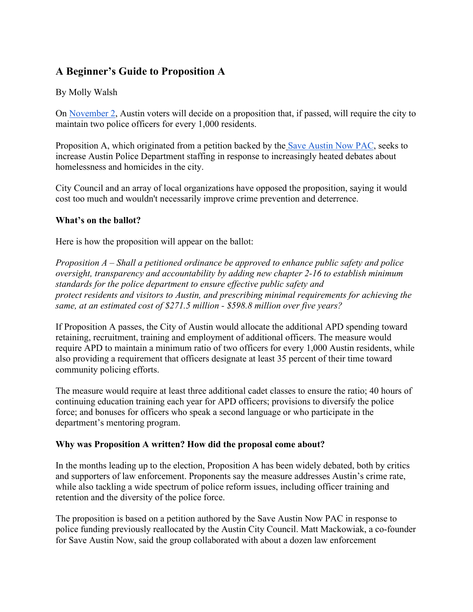# **A Beginner's Guide to Proposition A**

## By Molly Walsh

On [November 2,](https://www.austintexas.gov/page/november-2021-election) Austin voters will decide on a proposition that, if passed, will require the city to maintain two police officers for every 1,000 residents.

Proposition A, which originated from a petition backed by the [Save Austin Now PAC,](https://www.saveaustinnowpac.com/) seeks to increase Austin Police Department staffing in response to increasingly heated debates about homelessness and homicides in the city.

City Council and an array of local organizations have opposed the proposition, saying it would cost too much and wouldn't necessarily improve crime prevention and deterrence.

#### **What's on the ballot?**

Here is how the proposition will appear on the ballot:

*Proposition A – Shall a petitioned ordinance be approved to enhance public safety and police oversight, transparency and accountability by adding new chapter 2-16 to establish minimum standards for the police department to ensure effective public safety and protect residents and visitors to Austin, and prescribing minimal requirements for achieving the same, at an estimated cost of \$271.5 million - \$598.8 million over five years?*

If Proposition A passes, the City of Austin would allocate the additional APD spending toward retaining, recruitment, training and employment of additional officers. The measure would require APD to maintain a minimum ratio of two officers for every 1,000 Austin residents, while also providing a requirement that officers designate at least 35 percent of their time toward community policing efforts.

The measure would require at least three additional cadet classes to ensure the ratio; 40 hours of continuing education training each year for APD officers; provisions to diversify the police force; and bonuses for officers who speak a second language or who participate in the department's mentoring program.

### **Why was Proposition A written? How did the proposal come about?**

In the months leading up to the election, Proposition A has been widely debated, both by critics and supporters of law enforcement. Proponents say the measure addresses Austin's crime rate, while also tackling a wide spectrum of police reform issues, including officer training and retention and the diversity of the police force.

The proposition is based on a petition authored by the Save Austin Now PAC in response to police funding previously reallocated by the Austin City Council. Matt Mackowiak, a co-founder for Save Austin Now, said the group collaborated with about a dozen law enforcement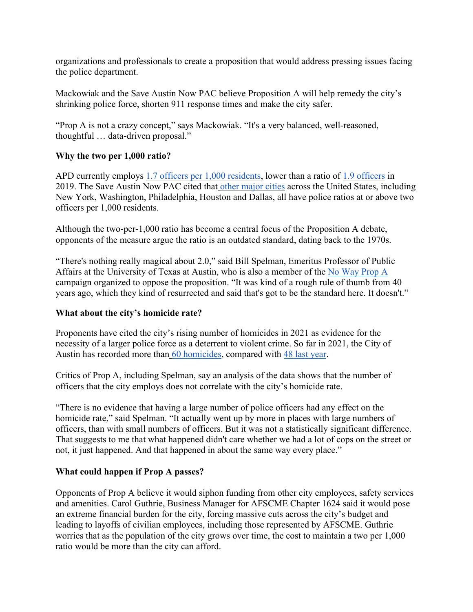organizations and professionals to create a proposition that would address pressing issues facing the police department.

Mackowiak and the Save Austin Now PAC believe Proposition A will help remedy the city's shrinking police force, shorten 911 response times and make the city safer.

"Prop A is not a crazy concept," says Mackowiak. "It's a very balanced, well-reasoned, thoughtful … data-driven proposal."

# **Why the two per 1,000 ratio?**

APD currently employs [1.7 officers per 1,000 residents,](https://www.austinmonitor.com/stories/2021/08/petition-backed-measure-to-mandate-police-staffing-will-go-to-austin-voters/) lower than a ratio of [1.9 officers](https://ballotpedia.org/Austin,_Texas,_Proposition_A,_Police_Policies_on_Minimum_Number_of_Officers,_Training_Requirements,_and_Demographic_Representation_Initiative_(November_2021)) in 2019. The Save Austin Now PAC cited that [other major cities](https://www.governing.com/archive/police-officers-per-capita-rates-employment-for-city-departments.html) across the United States, including New York, Washington, Philadelphia, Houston and Dallas, all have police ratios at or above two officers per 1,000 residents.

Although the two-per-1,000 ratio has become a central focus of the Proposition A debate, opponents of the measure argue the ratio is an outdated standard, dating back to the 1970s.

"There's nothing really magical about 2.0," said Bill Spelman, Emeritus Professor of Public Affairs at the University of Texas at Austin, who is also a member of the [No Way Prop A](https://nowaypropa.com/who-we-are/) campaign organized to oppose the proposition. "It was kind of a rough rule of thumb from 40 years ago, which they kind of resurrected and said that's got to be the standard here. It doesn't."

### **What about the city's homicide rate?**

Proponents have cited the city's rising number of homicides in 2021 as evidence for the necessity of a larger police force as a deterrent to violent crime. So far in 2021, the City of Austin has recorded more than [60 homicides,](https://www.statesman.com/story/news/2021/09/12/austin-tx-homicides-new-record-60th-death-downtown/8270925002/) compared with [48 last year.](https://www.kvue.com/article/news/local/austin-homicide-record-number-2021/269-e3c419af-9722-456f-9b5d-c044944e128d)

Critics of Prop A, including Spelman, say an analysis of the data shows that the number of officers that the city employs does not correlate with the city's homicide rate.

"There is no evidence that having a large number of police officers had any effect on the homicide rate," said Spelman. "It actually went up by more in places with large numbers of officers, than with small numbers of officers. But it was not a statistically significant difference. That suggests to me that what happened didn't care whether we had a lot of cops on the street or not, it just happened. And that happened in about the same way every place."

### **What could happen if Prop A passes?**

Opponents of Prop A believe it would siphon funding from other city employees, safety services and amenities. Carol Guthrie, Business Manager for AFSCME Chapter 1624 said it would pose an extreme financial burden for the city, forcing massive cuts across the city's budget and leading to layoffs of civilian employees, including those represented by AFSCME. Guthrie worries that as the population of the city grows over time, the cost to maintain a two per 1,000 ratio would be more than the city can afford.